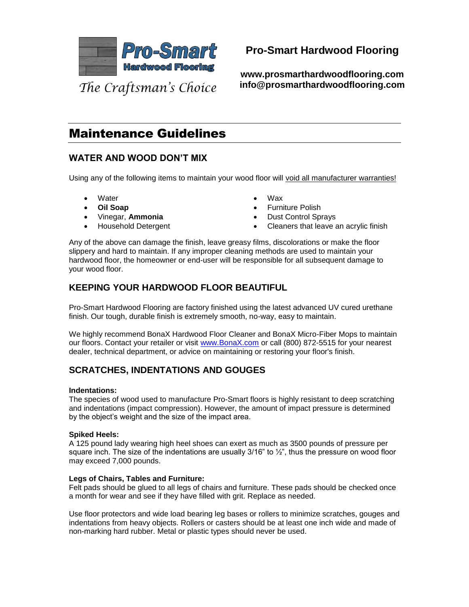

**Pro-Smart Hardwood Flooring**

**www.prosmarthardwoodflooring.com info@prosmarthardwoodflooring.com**

The Craftsman's Choice

# Maintenance Guidelines

# **WATER AND WOOD DON'T MIX**

Using any of the following items to maintain your wood floor will void all manufacturer warranties!

- **Water**
- **Oil Soap**
- Vinegar, **Ammonia**
- Household Detergent
- Wax
- **Furniture Polish**
- Dust Control Sprays
- Cleaners that leave an acrylic finish

Any of the above can damage the finish, leave greasy films, discolorations or make the floor slippery and hard to maintain. If any improper cleaning methods are used to maintain your hardwood floor, the homeowner or end-user will be responsible for all subsequent damage to your wood floor.

## **KEEPING YOUR HARDWOOD FLOOR BEAUTIFUL**

Pro-Smart Hardwood Flooring are factory finished using the latest advanced UV cured urethane finish. Our tough, durable finish is extremely smooth, no-way, easy to maintain.

We highly recommend BonaX Hardwood Floor Cleaner and BonaX Micro-Fiber Mops to maintain our floors. Contact your retailer or visit [www.BonaX.com](http://www.bonax.com/) or call (800) 872-5515 for your nearest dealer, technical department, or advice on maintaining or restoring your floor's finish.

# **SCRATCHES, INDENTATIONS AND GOUGES**

#### **Indentations:**

The species of wood used to manufacture Pro-Smart floors is highly resistant to deep scratching and indentations (impact compression). However, the amount of impact pressure is determined by the object's weight and the size of the impact area.

#### **Spiked Heels:**

A 125 pound lady wearing high heel shoes can exert as much as 3500 pounds of pressure per square inch. The size of the indentations are usually 3/16" to  $\frac{1}{2}$ ", thus the pressure on wood floor may exceed 7,000 pounds.

#### **Legs of Chairs, Tables and Furniture:**

Felt pads should be glued to all legs of chairs and furniture. These pads should be checked once a month for wear and see if they have filled with grit. Replace as needed.

Use floor protectors and wide load bearing leg bases or rollers to minimize scratches, gouges and indentations from heavy objects. Rollers or casters should be at least one inch wide and made of non-marking hard rubber. Metal or plastic types should never be used.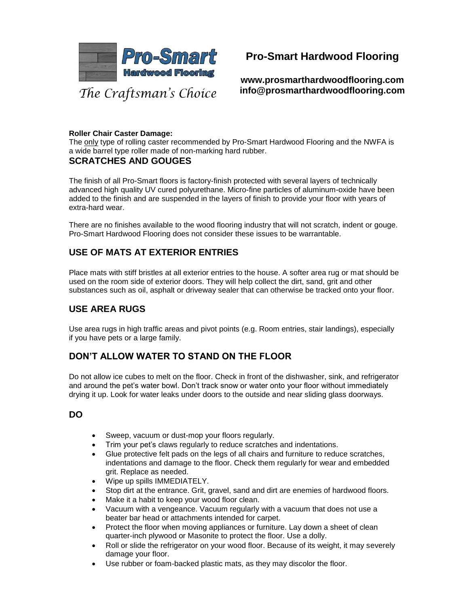

# **Pro-Smart Hardwood Flooring**

**www.prosmarthardwoodflooring.com info@prosmarthardwoodflooring.com**

#### **Roller Chair Caster Damage:**

The only type of rolling caster recommended by Pro-Smart Hardwood Flooring and the NWFA is a wide barrel type roller made of non-marking hard rubber. **SCRATCHES AND GOUGES**

The finish of all Pro-Smart floors is factory-finish protected with several layers of technically advanced high quality UV cured polyurethane. Micro-fine particles of aluminum-oxide have been added to the finish and are suspended in the layers of finish to provide your floor with years of extra-hard wear.

There are no finishes available to the wood flooring industry that will not scratch, indent or gouge. Pro-Smart Hardwood Flooring does not consider these issues to be warrantable.

## **USE OF MATS AT EXTERIOR ENTRIES**

Place mats with stiff bristles at all exterior entries to the house. A softer area rug or mat should be used on the room side of exterior doors. They will help collect the dirt, sand, grit and other substances such as oil, asphalt or driveway sealer that can otherwise be tracked onto your floor.

## **USE AREA RUGS**

Use area rugs in high traffic areas and pivot points (e.g. Room entries, stair landings), especially if you have pets or a large family.

### **DON'T ALLOW WATER TO STAND ON THE FLOOR**

Do not allow ice cubes to melt on the floor. Check in front of the dishwasher, sink, and refrigerator and around the pet's water bowl. Don't track snow or water onto your floor without immediately drying it up. Look for water leaks under doors to the outside and near sliding glass doorways.

### **DO**

- Sweep, vacuum or dust-mop your floors regularly.
- Trim your pet's claws regularly to reduce scratches and indentations.
- Glue protective felt pads on the legs of all chairs and furniture to reduce scratches, indentations and damage to the floor. Check them regularly for wear and embedded grit. Replace as needed.
- Wipe up spills IMMEDIATELY.
- Stop dirt at the entrance. Grit, gravel, sand and dirt are enemies of hardwood floors.
- Make it a habit to keep your wood floor clean.
- Vacuum with a vengeance. Vacuum regularly with a vacuum that does not use a beater bar head or attachments intended for carpet.
- Protect the floor when moving appliances or furniture. Lay down a sheet of clean quarter-inch plywood or Masonite to protect the floor. Use a dolly.
- Roll or slide the refrigerator on your wood floor. Because of its weight, it may severely damage your floor.
- Use rubber or foam-backed plastic mats, as they may discolor the floor.